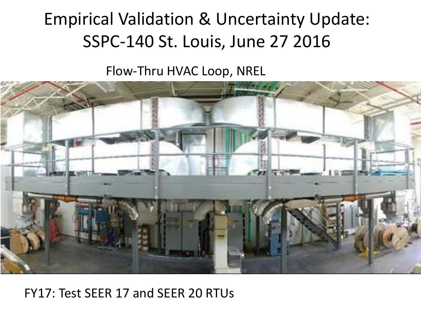## Empirical Validation & Uncertainty Update: SSPC-140 St. Louis, June 27 2016

Flow-Thru HVAC Loop, NREL



#### FY17: Test SEER 17 and SEER 20 RTUs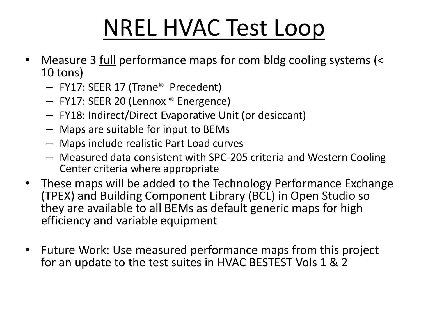# NREL HVAC Test Loop

- Measure 3 full performance maps for com bldg cooling systems (< 10 tons)
	- FY17: SEER 17 (Trane® Precedent)
	- FY17: SEER 20 (Lennox ® Energence)
	- FY18: Indirect/Direct Evaporative Unit (or desiccant)
	- Maps are suitable for input to BEMs
	- Maps include realistic Part Load curves
	- Measured data consistent with SPC-205 criteria and Western Cooling Center criteria where appropriate
- These maps will be added to the Technology Performance Exchange (TPEX) and Building Component Library (BCL) in Open Studio so they are available to all BEMs as default generic maps for high efficiency and variable equipment
- Future Work: Use measured performance maps from this project for an update to the test suites in HVAC BESTEST Vols 1 & 2